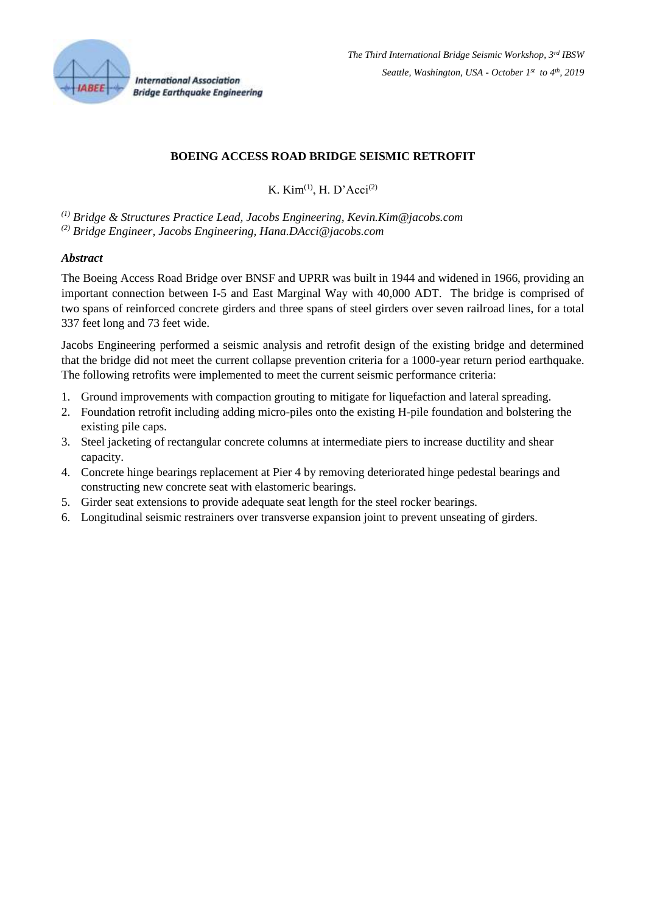

**International Association Bridge Earthquake Engineering** 

# **BOEING ACCESS ROAD BRIDGE SEISMIC RETROFIT**

K. Kim<sup>(1)</sup>, H. D'Acci<sup>(2)</sup>

*(1) Bridge & Structures Practice Lead, Jacobs Engineering, Kevin.Kim@jacobs.com (2) Bridge Engineer, Jacobs Engineering, Hana.DAcci@jacobs.com*

### *Abstract*

The Boeing Access Road Bridge over BNSF and UPRR was built in 1944 and widened in 1966, providing an important connection between I-5 and East Marginal Way with 40,000 ADT. The bridge is comprised of two spans of reinforced concrete girders and three spans of steel girders over seven railroad lines, for a total 337 feet long and 73 feet wide.

Jacobs Engineering performed a seismic analysis and retrofit design of the existing bridge and determined that the bridge did not meet the current collapse prevention criteria for a 1000-year return period earthquake. The following retrofits were implemented to meet the current seismic performance criteria:

- 1. Ground improvements with compaction grouting to mitigate for liquefaction and lateral spreading.
- 2. Foundation retrofit including adding micro-piles onto the existing H-pile foundation and bolstering the existing pile caps.
- 3. Steel jacketing of rectangular concrete columns at intermediate piers to increase ductility and shear capacity.
- 4. Concrete hinge bearings replacement at Pier 4 by removing deteriorated hinge pedestal bearings and constructing new concrete seat with elastomeric bearings.
- 5. Girder seat extensions to provide adequate seat length for the steel rocker bearings.
- 6. Longitudinal seismic restrainers over transverse expansion joint to prevent unseating of girders.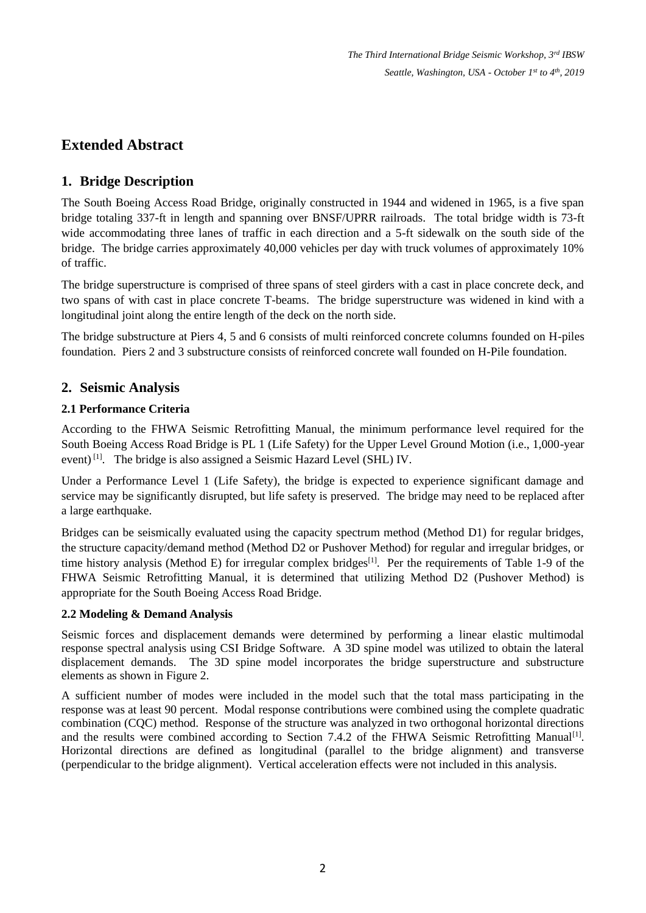*The Third International Bridge Seismic Workshop, 3rd IBSW Seattle, Washington, USA - October 1 st to 4th , 2019*

# **Extended Abstract**

# **1. Bridge Description**

The South Boeing Access Road Bridge, originally constructed in 1944 and widened in 1965, is a five span bridge totaling 337-ft in length and spanning over BNSF/UPRR railroads. The total bridge width is 73-ft wide accommodating three lanes of traffic in each direction and a 5-ft sidewalk on the south side of the bridge. The bridge carries approximately 40,000 vehicles per day with truck volumes of approximately 10% of traffic.

The bridge superstructure is comprised of three spans of steel girders with a cast in place concrete deck, and two spans of with cast in place concrete T-beams. The bridge superstructure was widened in kind with a longitudinal joint along the entire length of the deck on the north side.

The bridge substructure at Piers 4, 5 and 6 consists of multi reinforced concrete columns founded on H-piles foundation. Piers 2 and 3 substructure consists of reinforced concrete wall founded on H-Pile foundation.

# **2. Seismic Analysis**

### **2.1 Performance Criteria**

According to the FHWA Seismic Retrofitting Manual, the minimum performance level required for the South Boeing Access Road Bridge is PL 1 (Life Safety) for the Upper Level Ground Motion (i.e., 1,000-year event)<sup>[1]</sup>. The bridge is also assigned a Seismic Hazard Level (SHL) IV.

Under a Performance Level 1 (Life Safety), the bridge is expected to experience significant damage and service may be significantly disrupted, but life safety is preserved. The bridge may need to be replaced after a large earthquake.

Bridges can be seismically evaluated using the capacity spectrum method (Method D1) for regular bridges, the structure capacity/demand method (Method D2 or Pushover Method) for regular and irregular bridges, or time history analysis (Method E) for irregular complex bridges<sup>[1]</sup>. Per the requirements of Table 1-9 of the FHWA Seismic Retrofitting Manual, it is determined that utilizing Method D2 (Pushover Method) is appropriate for the South Boeing Access Road Bridge.

### **2.2 Modeling & Demand Analysis**

Seismic forces and displacement demands were determined by performing a linear elastic multimodal response spectral analysis using CSI Bridge Software. A 3D spine model was utilized to obtain the lateral displacement demands. The 3D spine model incorporates the bridge superstructure and substructure elements as shown in Figure 2.

A sufficient number of modes were included in the model such that the total mass participating in the response was at least 90 percent. Modal response contributions were combined using the complete quadratic combination (CQC) method. Response of the structure was analyzed in two orthogonal horizontal directions and the results were combined according to Section 7.4.2 of the FHWA Seismic Retrofitting Manual<sup>[1]</sup>. Horizontal directions are defined as longitudinal (parallel to the bridge alignment) and transverse (perpendicular to the bridge alignment). Vertical acceleration effects were not included in this analysis.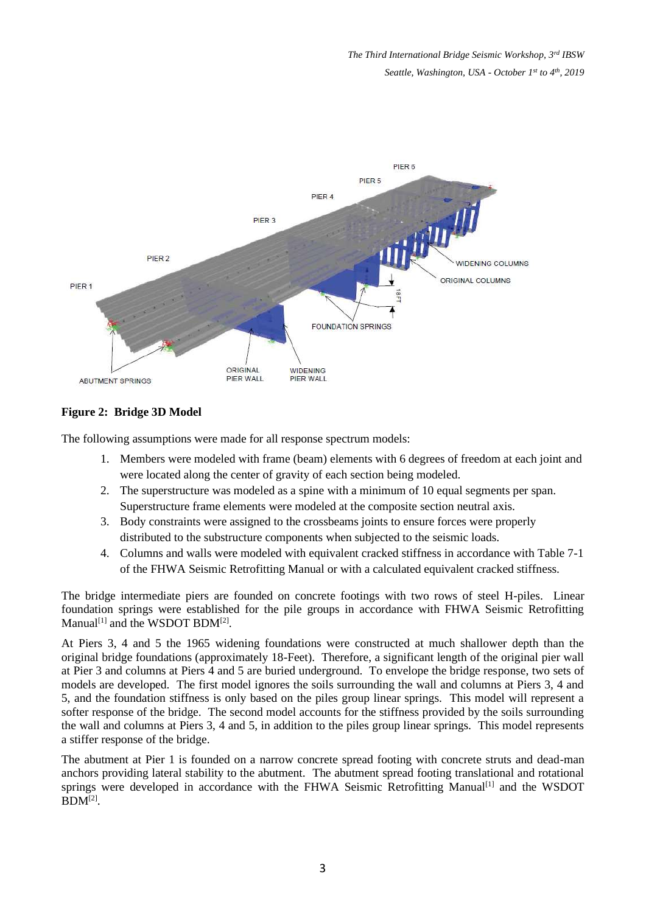

# **Figure 2: Bridge 3D Model**

The following assumptions were made for all response spectrum models:

- 1. Members were modeled with frame (beam) elements with 6 degrees of freedom at each joint and were located along the center of gravity of each section being modeled.
- 2. The superstructure was modeled as a spine with a minimum of 10 equal segments per span. Superstructure frame elements were modeled at the composite section neutral axis.
- 3. Body constraints were assigned to the crossbeams joints to ensure forces were properly distributed to the substructure components when subjected to the seismic loads.
- 4. Columns and walls were modeled with equivalent cracked stiffness in accordance with Table 7-1 of the FHWA Seismic Retrofitting Manual or with a calculated equivalent cracked stiffness.

The bridge intermediate piers are founded on concrete footings with two rows of steel H-piles. Linear foundation springs were established for the pile groups in accordance with FHWA Seismic Retrofitting Manual<sup>[1]</sup> and the WSDOT BDM<sup>[2]</sup>.

At Piers 3, 4 and 5 the 1965 widening foundations were constructed at much shallower depth than the original bridge foundations (approximately 18-Feet). Therefore, a significant length of the original pier wall at Pier 3 and columns at Piers 4 and 5 are buried underground. To envelope the bridge response, two sets of models are developed. The first model ignores the soils surrounding the wall and columns at Piers 3, 4 and 5, and the foundation stiffness is only based on the piles group linear springs. This model will represent a softer response of the bridge. The second model accounts for the stiffness provided by the soils surrounding the wall and columns at Piers 3, 4 and 5, in addition to the piles group linear springs. This model represents a stiffer response of the bridge.

The abutment at Pier 1 is founded on a narrow concrete spread footing with concrete struts and dead-man anchors providing lateral stability to the abutment. The abutment spread footing translational and rotational springs were developed in accordance with the FHWA Seismic Retrofitting Manual<sup>[1]</sup> and the WSDOT  $BDM^{[2]}$ .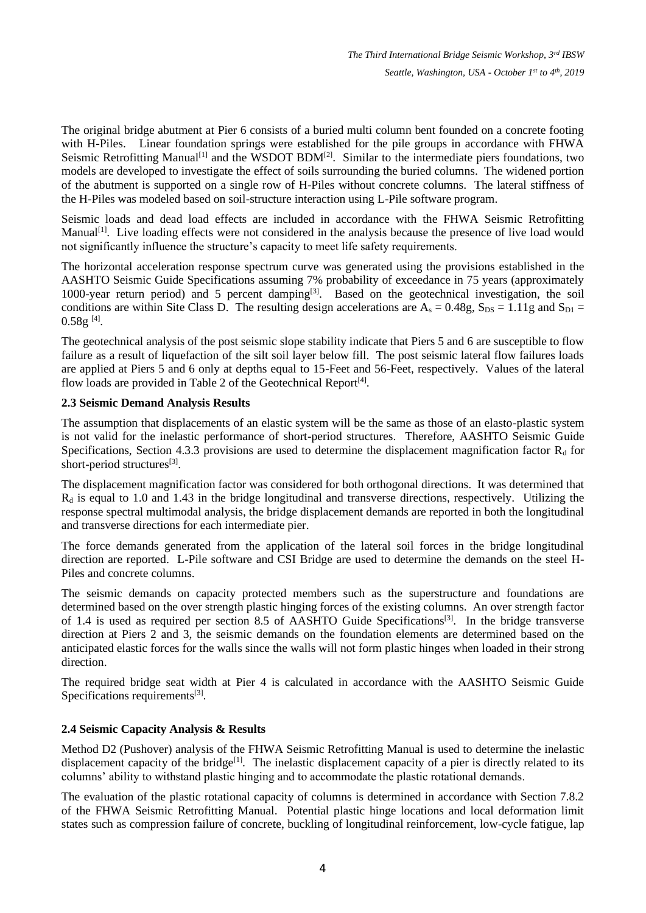The original bridge abutment at Pier 6 consists of a buried multi column bent founded on a concrete footing with H-Piles. Linear foundation springs were established for the pile groups in accordance with FHWA Seismic Retrofitting Manual<sup>[1]</sup> and the WSDOT BDM<sup>[2]</sup>. Similar to the intermediate piers foundations, two models are developed to investigate the effect of soils surrounding the buried columns. The widened portion of the abutment is supported on a single row of H-Piles without concrete columns. The lateral stiffness of the H-Piles was modeled based on soil-structure interaction using L-Pile software program.

Seismic loads and dead load effects are included in accordance with the FHWA Seismic Retrofitting Manual<sup>[1]</sup>. Live loading effects were not considered in the analysis because the presence of live load would not significantly influence the structure's capacity to meet life safety requirements.

The horizontal acceleration response spectrum curve was generated using the provisions established in the AASHTO Seismic Guide Specifications assuming 7% probability of exceedance in 75 years (approximately 1000-year return period) and 5 percent damping<sup>[3]</sup>. Based on the geotechnical investigation, the soil conditions are within Site Class D. The resulting design accelerations are  $A_s = 0.48g$ ,  $S_{DS} = 1.11g$  and  $S_{D1} =$  $0.58g$  <sup>[4]</sup>.

The geotechnical analysis of the post seismic slope stability indicate that Piers 5 and 6 are susceptible to flow failure as a result of liquefaction of the silt soil layer below fill. The post seismic lateral flow failures loads are applied at Piers 5 and 6 only at depths equal to 15-Feet and 56-Feet, respectively. Values of the lateral flow loads are provided in Table 2 of the Geotechnical Report<sup>[4]</sup>.

# **2.3 Seismic Demand Analysis Results**

The assumption that displacements of an elastic system will be the same as those of an elasto-plastic system is not valid for the inelastic performance of short-period structures. Therefore, AASHTO Seismic Guide Specifications, Section 4.3.3 provisions are used to determine the displacement magnification factor  $R_d$  for short-period structures<sup>[3]</sup>.

The displacement magnification factor was considered for both orthogonal directions. It was determined that  $R_d$  is equal to 1.0 and 1.43 in the bridge longitudinal and transverse directions, respectively. Utilizing the response spectral multimodal analysis, the bridge displacement demands are reported in both the longitudinal and transverse directions for each intermediate pier.

The force demands generated from the application of the lateral soil forces in the bridge longitudinal direction are reported. L-Pile software and CSI Bridge are used to determine the demands on the steel H-Piles and concrete columns.

The seismic demands on capacity protected members such as the superstructure and foundations are determined based on the over strength plastic hinging forces of the existing columns. An over strength factor of 1.4 is used as required per section 8.5 of AASHTO Guide Specifications<sup>[3]</sup>. In the bridge transverse direction at Piers 2 and 3, the seismic demands on the foundation elements are determined based on the anticipated elastic forces for the walls since the walls will not form plastic hinges when loaded in their strong direction.

The required bridge seat width at Pier 4 is calculated in accordance with the AASHTO Seismic Guide Specifications requirements<sup>[3]</sup>.

# **2.4 Seismic Capacity Analysis & Results**

Method D2 (Pushover) analysis of the FHWA Seismic Retrofitting Manual is used to determine the inelastic displacement capacity of the bridge<sup>[1]</sup>. The inelastic displacement capacity of a pier is directly related to its columns' ability to withstand plastic hinging and to accommodate the plastic rotational demands.

The evaluation of the plastic rotational capacity of columns is determined in accordance with Section 7.8.2 of the FHWA Seismic Retrofitting Manual. Potential plastic hinge locations and local deformation limit states such as compression failure of concrete, buckling of longitudinal reinforcement, low-cycle fatigue, lap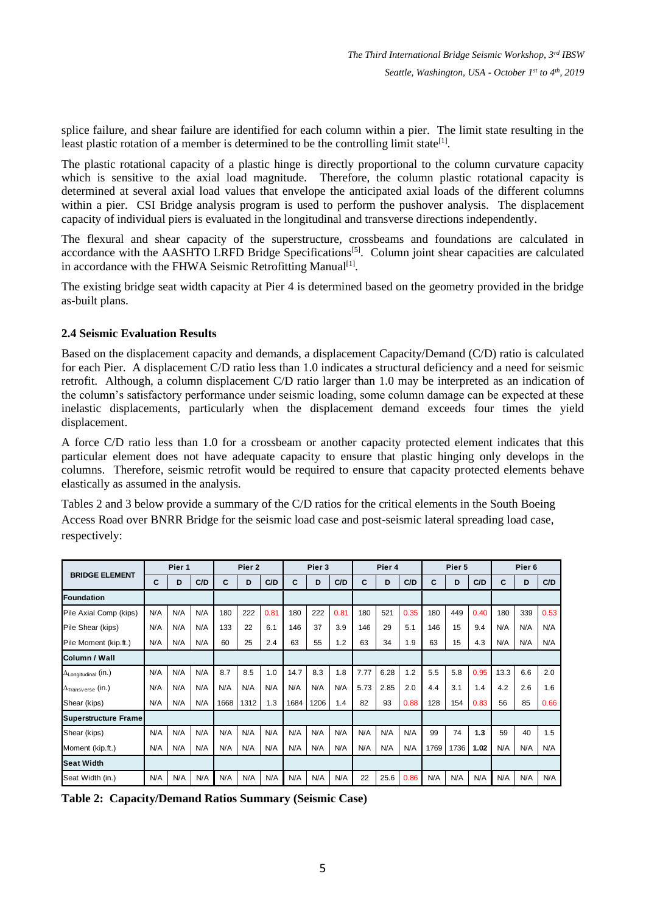splice failure, and shear failure are identified for each column within a pier. The limit state resulting in the least plastic rotation of a member is determined to be the controlling limit state<sup>[1]</sup>.

The plastic rotational capacity of a plastic hinge is directly proportional to the column curvature capacity which is sensitive to the axial load magnitude. Therefore, the column plastic rotational capacity is determined at several axial load values that envelope the anticipated axial loads of the different columns within a pier. CSI Bridge analysis program is used to perform the pushover analysis. The displacement capacity of individual piers is evaluated in the longitudinal and transverse directions independently.

The flexural and shear capacity of the superstructure, crossbeams and foundations are calculated in accordance with the AASHTO LRFD Bridge Specifications[5]. Column joint shear capacities are calculated in accordance with the FHWA Seismic Retrofitting Manual<sup>[1]</sup>.

The existing bridge seat width capacity at Pier 4 is determined based on the geometry provided in the bridge as-built plans.

### **2.4 Seismic Evaluation Results**

Based on the displacement capacity and demands, a displacement Capacity/Demand (C/D) ratio is calculated for each Pier. A displacement C/D ratio less than 1.0 indicates a structural deficiency and a need for seismic retrofit. Although, a column displacement C/D ratio larger than 1.0 may be interpreted as an indication of the column's satisfactory performance under seismic loading, some column damage can be expected at these inelastic displacements, particularly when the displacement demand exceeds four times the yield displacement.

A force C/D ratio less than 1.0 for a crossbeam or another capacity protected element indicates that this particular element does not have adequate capacity to ensure that plastic hinging only develops in the columns. Therefore, seismic retrofit would be required to ensure that capacity protected elements behave elastically as assumed in the analysis.

Tables 2 and 3 below provide a summary of the C/D ratios for the critical elements in the South Boeing Access Road over BNRR Bridge for the seismic load case and post-seismic lateral spreading load case, respectively:

| <b>BRIDGE ELEMENT</b>                | Pier 1 |     |     | Pier <sub>2</sub> |      |      | Pier 3 |      |      | Pier 4 |      |      | Pier 5 |      |      | Pier <sub>6</sub> |     |      |
|--------------------------------------|--------|-----|-----|-------------------|------|------|--------|------|------|--------|------|------|--------|------|------|-------------------|-----|------|
|                                      | C      | D   | C/D | С                 | D    | C/D  | C      | D    | C/D  | C      | D    | C/D  | C      | D    | C/D  | С                 | D   | C/D  |
| Foundation                           |        |     |     |                   |      |      |        |      |      |        |      |      |        |      |      |                   |     |      |
| Pile Axial Comp (kips)               | N/A    | N/A | N/A | 180               | 222  | 0.81 | 180    | 222  | 0.81 | 180    | 521  | 0.35 | 180    | 449  | 0.40 | 180               | 339 | 0.53 |
| Pile Shear (kips)                    | N/A    | N/A | N/A | 133               | 22   | 6.1  | 146    | 37   | 3.9  | 146    | 29   | 5.1  | 146    | 15   | 9.4  | N/A               | N/A | N/A  |
| Pile Moment (kip.ft.)                | N/A    | N/A | N/A | 60                | 25   | 2.4  | 63     | 55   | 1.2  | 63     | 34   | 1.9  | 63     | 15   | 4.3  | N/A               | N/A | N/A  |
| Column / Wall                        |        |     |     |                   |      |      |        |      |      |        |      |      |        |      |      |                   |     |      |
| $\Delta_{\text{Longitudinal}}$ (in.) | N/A    | N/A | N/A | 8.7               | 8.5  | 1.0  | 14.7   | 8.3  | 1.8  | 7.77   | 6.28 | 1.2  | 5.5    | 5.8  | 0.95 | 13.3              | 6.6 | 2.0  |
| $\Delta_{\sf Transverse}$ (in.)      | N/A    | N/A | N/A | N/A               | N/A  | N/A  | N/A    | N/A  | N/A  | 5.73   | 2.85 | 2.0  | 4.4    | 3.1  | 1.4  | 4.2               | 2.6 | 1.6  |
| Shear (kips)                         | N/A    | N/A | N/A | 1668              | 1312 | 1.3  | 1684   | 1206 | 1.4  | 82     | 93   | 0.88 | 128    | 154  | 0.83 | 56                | 85  | 0.66 |
| <b>Superstructure Frame</b>          |        |     |     |                   |      |      |        |      |      |        |      |      |        |      |      |                   |     |      |
| Shear (kips)                         | N/A    | N/A | N/A | N/A               | N/A  | N/A  | N/A    | N/A  | N/A  | N/A    | N/A  | N/A  | 99     | 74   | 1.3  | 59                | 40  | 1.5  |
| Moment (kip.ft.)                     | N/A    | N/A | N/A | N/A               | N/A  | N/A  | N/A    | N/A  | N/A  | N/A    | N/A  | N/A  | 1769   | 1736 | 1.02 | N/A               | N/A | N/A  |
| <b>Seat Width</b>                    |        |     |     |                   |      |      |        |      |      |        |      |      |        |      |      |                   |     |      |
| Seat Width (in.)                     | N/A    | N/A | N/A | N/A               | N/A  | N/A  | N/A    | N/A  | N/A  | 22     | 25.6 | 0.86 | N/A    | N/A  | N/A  | N/A               | N/A | N/A  |

**Table 2: Capacity/Demand Ratios Summary (Seismic Case)**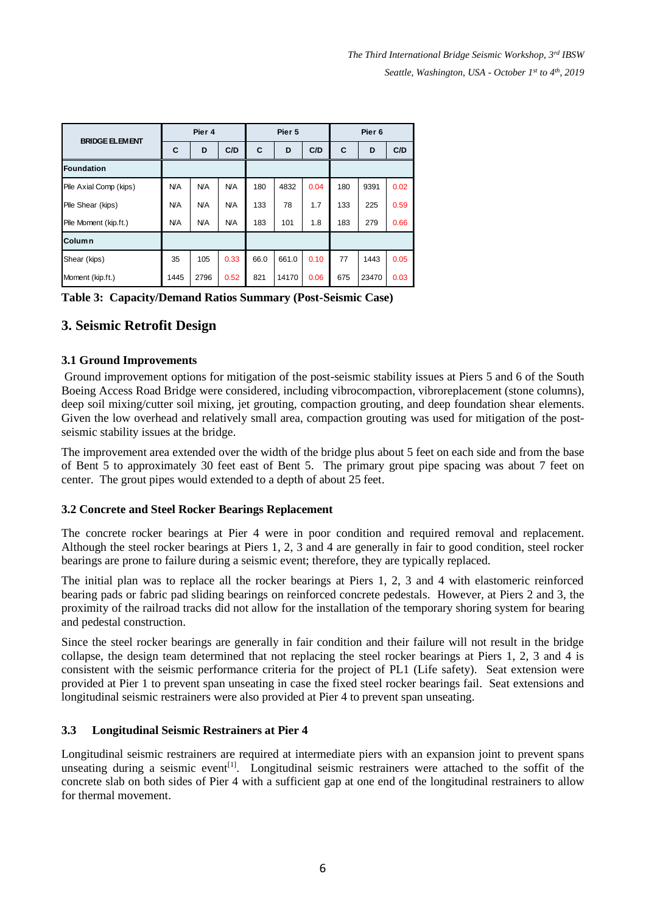*The Third International Bridge Seismic Workshop, 3rd IBSW Seattle, Washington, USA - October 1 st to 4th , 2019*

| <b>BRIDGE ELEMENT</b>  |            | Pier 4     |            |      | Pier 5 |      | Pier <sub>6</sub> |       |      |  |
|------------------------|------------|------------|------------|------|--------|------|-------------------|-------|------|--|
|                        | C          | D          | C/D        | C    | D      | C/D  | C                 | D     | C/D  |  |
| Foundation             |            |            |            |      |        |      |                   |       |      |  |
| Pile Axial Comp (kips) | <b>N/A</b> | <b>N/A</b> | <b>N/A</b> | 180  | 4832   | 0.04 | 180               | 9391  | 0.02 |  |
| Pile Shear (kips)      | <b>N/A</b> | <b>N/A</b> | <b>N/A</b> | 133  | 78     | 1.7  | 133               | 225   | 0.59 |  |
| Pile Moment (kip.ft.)  | <b>N/A</b> | <b>N/A</b> | N/A        | 183  | 101    | 1.8  | 183               | 279   | 0.66 |  |
| <b>Column</b>          |            |            |            |      |        |      |                   |       |      |  |
| Shear (kips)           | 35         | 105        | 0.33       | 66.0 | 661.0  | 0.10 | 77                | 1443  | 0.05 |  |
| Moment (kip.ft.)       | 1445       | 2796       | 0.52       | 821  | 14170  | 0.06 | 675               | 23470 | 0.03 |  |

**Table 3: Capacity/Demand Ratios Summary (Post-Seismic Case)**

# **3. Seismic Retrofit Design**

#### **3.1 Ground Improvements**

Ground improvement options for mitigation of the post-seismic stability issues at Piers 5 and 6 of the South Boeing Access Road Bridge were considered, including vibrocompaction, vibroreplacement (stone columns), deep soil mixing/cutter soil mixing, jet grouting, compaction grouting, and deep foundation shear elements. Given the low overhead and relatively small area, compaction grouting was used for mitigation of the postseismic stability issues at the bridge.

The improvement area extended over the width of the bridge plus about 5 feet on each side and from the base of Bent 5 to approximately 30 feet east of Bent 5. The primary grout pipe spacing was about 7 feet on center. The grout pipes would extended to a depth of about 25 feet.

#### **3.2 Concrete and Steel Rocker Bearings Replacement**

The concrete rocker bearings at Pier 4 were in poor condition and required removal and replacement. Although the steel rocker bearings at Piers 1, 2, 3 and 4 are generally in fair to good condition, steel rocker bearings are prone to failure during a seismic event; therefore, they are typically replaced.

The initial plan was to replace all the rocker bearings at Piers 1, 2, 3 and 4 with elastomeric reinforced bearing pads or fabric pad sliding bearings on reinforced concrete pedestals. However, at Piers 2 and 3, the proximity of the railroad tracks did not allow for the installation of the temporary shoring system for bearing and pedestal construction.

Since the steel rocker bearings are generally in fair condition and their failure will not result in the bridge collapse, the design team determined that not replacing the steel rocker bearings at Piers 1, 2, 3 and 4 is consistent with the seismic performance criteria for the project of PL1 (Life safety). Seat extension were provided at Pier 1 to prevent span unseating in case the fixed steel rocker bearings fail. Seat extensions and longitudinal seismic restrainers were also provided at Pier 4 to prevent span unseating.

#### **3.3 Longitudinal Seismic Restrainers at Pier 4**

Longitudinal seismic restrainers are required at intermediate piers with an expansion joint to prevent spans unseating during a seismic event<sup>[1]</sup>. Longitudinal seismic restrainers were attached to the soffit of the concrete slab on both sides of Pier 4 with a sufficient gap at one end of the longitudinal restrainers to allow for thermal movement.